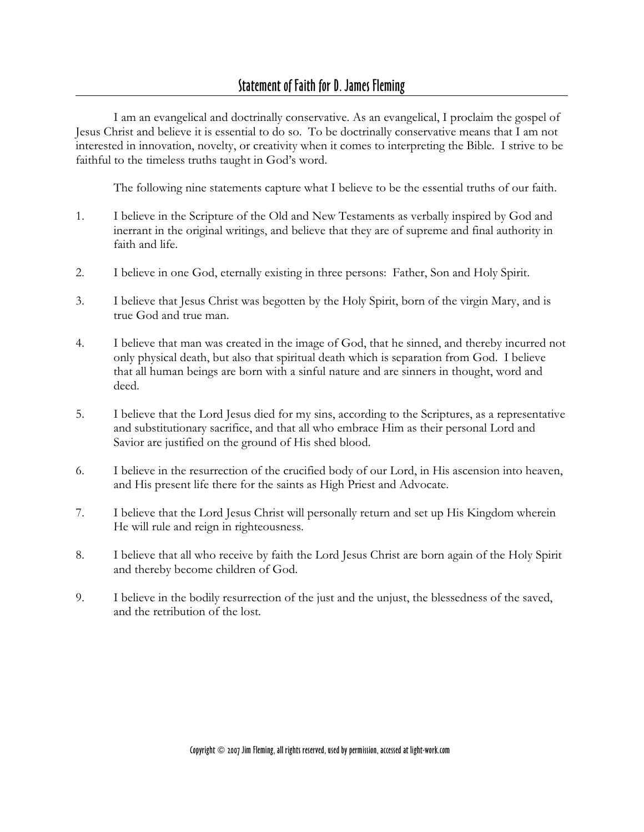I am an evangelical and doctrinally conservative. As an evangelical, I proclaim the gospel of Jesus Christ and believe it is essential to do so. To be doctrinally conservative means that I am not interested in innovation, novelty, or creativity when it comes to interpreting the Bible. I strive to be faithful to the timeless truths taught in God's word.

The following nine statements capture what I believe to be the essential truths of our faith.

- 1. I believe in the Scripture of the Old and New Testaments as verbally inspired by God and inerrant in the original writings, and believe that they are of supreme and final authority in faith and life.
- 2. I believe in one God, eternally existing in three persons: Father, Son and Holy Spirit.
- 3. I believe that Jesus Christ was begotten by the Holy Spirit, born of the virgin Mary, and is true God and true man.
- 4. I believe that man was created in the image of God, that he sinned, and thereby incurred not only physical death, but also that spiritual death which is separation from God. I believe that all human beings are born with a sinful nature and are sinners in thought, word and deed.
- 5. I believe that the Lord Jesus died for my sins, according to the Scriptures, as a representative and substitutionary sacrifice, and that all who embrace Him as their personal Lord and Savior are justified on the ground of His shed blood.
- 6. I believe in the resurrection of the crucified body of our Lord, in His ascension into heaven, and His present life there for the saints as High Priest and Advocate.
- 7. I believe that the Lord Jesus Christ will personally return and set up His Kingdom wherein He will rule and reign in righteousness.
- 8. I believe that all who receive by faith the Lord Jesus Christ are born again of the Holy Spirit and thereby become children of God.
- 9. I believe in the bodily resurrection of the just and the unjust, the blessedness of the saved, and the retribution of the lost.